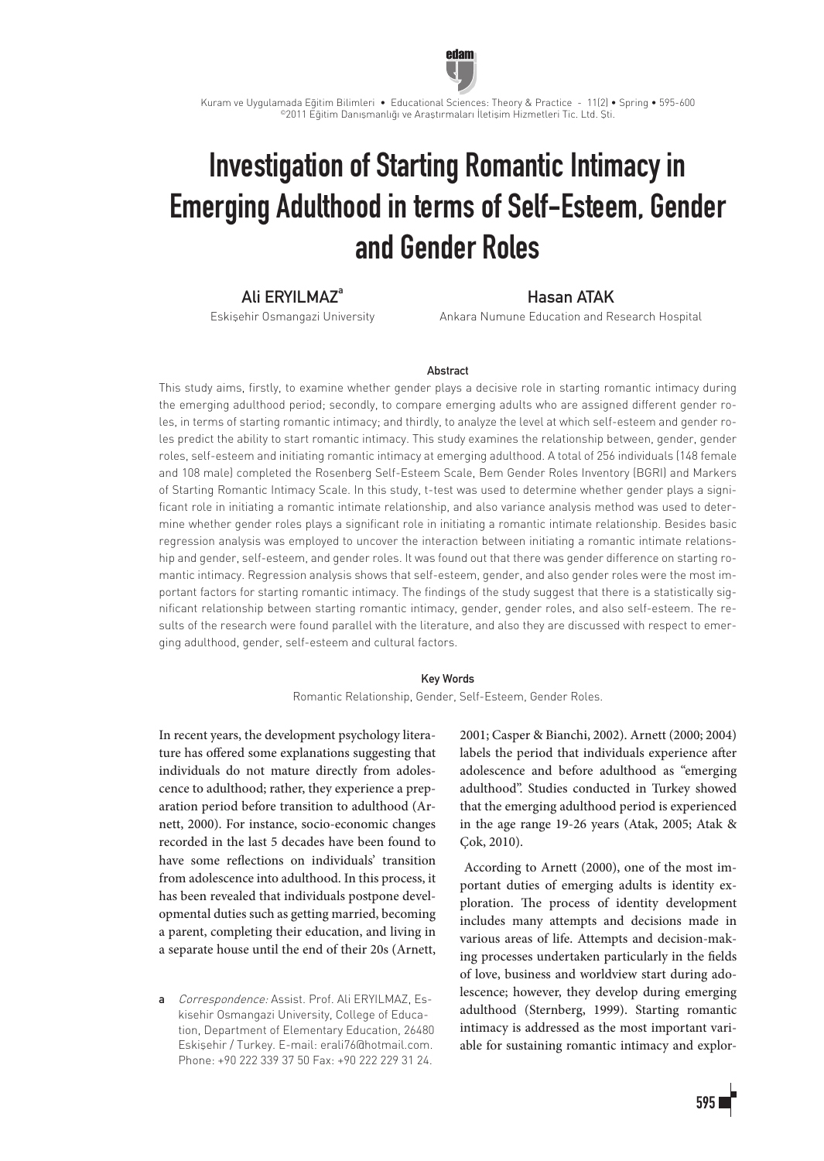

Kuram ve Uygulamada Eğitim Bilimleri • Educational Sciences: Theory & Practice - 11(2) • Spring • 595-600 ©2011 Eğitim Danışmanlığı ve Araştırmaları İletişim Hizmetleri Tic. Ltd. Şti.

# Investigation of Starting Romantic Intimacy in Emerging Adulthood in terms of Self-Esteem, Gender and Gender Roles

## Ali ERYILMAZ<sup>a</sup>

Eskişehir Osmangazi University

## Hasan ATAK

Ankara Numune Education and Research Hospital

#### **Abstract**

This study aims, firstly, to examine whether gender plays a decisive role in starting romantic intimacy during the emerging adulthood period; secondly, to compare emerging adults who are assigned different gender roles, in terms of starting romantic intimacy; and thirdly, to analyze the level at which self-esteem and gender roles predict the ability to start romantic intimacy. This study examines the relationship between, gender, gender roles, self-esteem and initiating romantic intimacy at emerging adulthood. A total of 256 individuals (148 female and 108 male) completed the Rosenberg Self-Esteem Scale, Bem Gender Roles Inventory (BGRI) and Markers of Starting Romantic Intimacy Scale. In this study, t-test was used to determine whether gender plays a significant role in initiating a romantic intimate relationship, and also variance analysis method was used to determine whether gender roles plays a significant role in initiating a romantic intimate relationship. Besides basic regression analysis was employed to uncover the interaction between initiating a romantic intimate relationship and gender, self-esteem, and gender roles. It was found out that there was gender difference on starting romantic intimacy. Regression analysis shows that self-esteem, gender, and also gender roles were the most important factors for starting romantic intimacy. The findings of the study suggest that there is a statistically significant relationship between starting romantic intimacy, gender, gender roles, and also self-esteem. The results of the research were found parallel with the literature, and also they are discussed with respect to emerging adulthood, gender, self-esteem and cultural factors.

#### Key Words

Romantic Relationship, Gender, Self-Esteem, Gender Roles.

In recent years, the development psychology literature has offered some explanations suggesting that individuals do not mature directly from adolescence to adulthood; rather, they experience a preparation period before transition to adulthood (Arnett, 2000). For instance, socio-economic changes recorded in the last 5 decades have been found to have some reflections on individuals' transition from adolescence into adulthood. In this process, it has been revealed that individuals postpone developmental duties such as getting married, becoming a parent, completing their education, and living in a separate house until the end of their 20s (Arnett,

a Correspondence: Assist, Prof. Ali ERYILMAZ, Eskisehir Osmangazi University, College of Education, Department of Elementary Education, 26480 Eskişehir / Turkey. E-mail: erali76@hotmail.com. Phone: +90 222 339 37 50 Fax: +90 222 229 31 24.

2001; Casper & Bianchi, 2002). Arnett (2000; 2004) labels the period that individuals experience after adolescence and before adulthood as "emerging adulthood". Studies conducted in Turkey showed that the emerging adulthood period is experienced in the age range 19-26 years (Atak, 2005; Atak & Cok, 2010).

 According to Arnett (2000), one of the most important duties of emerging adults is identity exploration. The process of identity development includes many attempts and decisions made in various areas of life. Attempts and decision-making processes undertaken particularly in the fields of love, business and worldview start during adolescence; however, they develop during emerging adulthood (Sternberg, 1999). Starting romantic intimacy is addressed as the most important variable for sustaining romantic intimacy and explor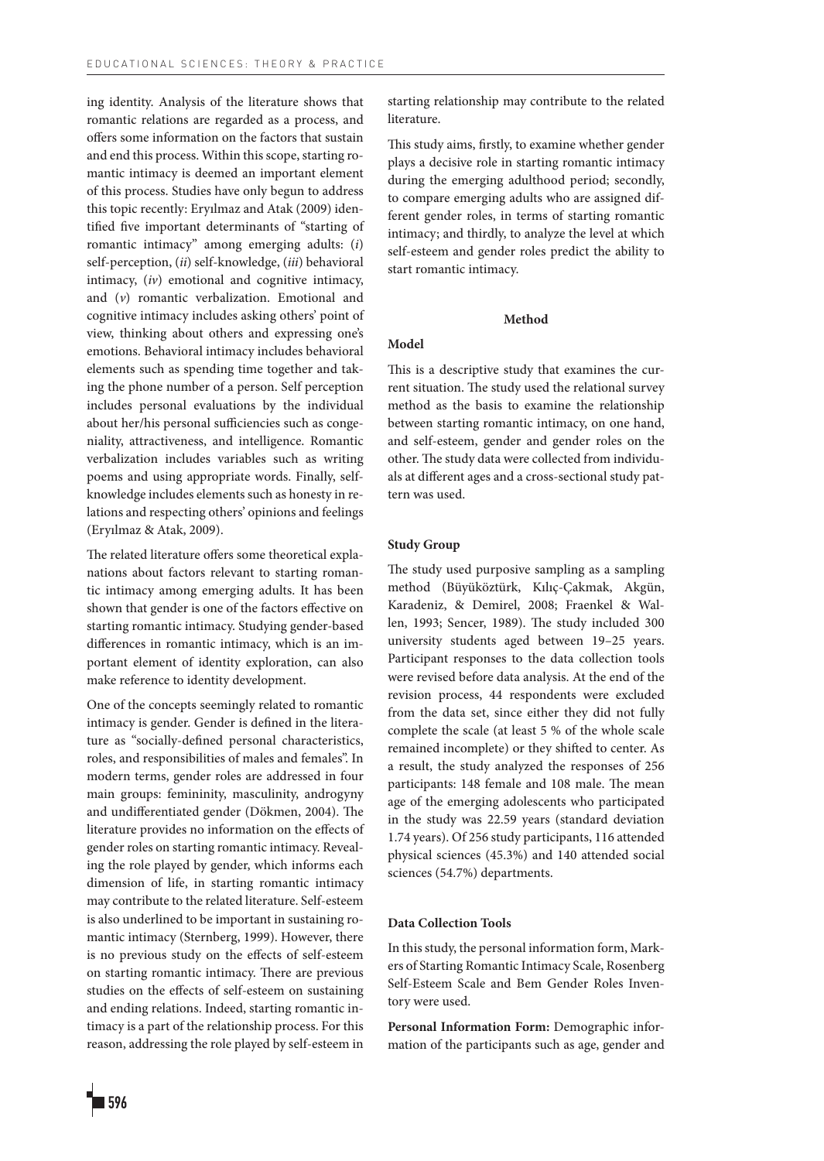ing identity. Analysis of the literature shows that romantic relations are regarded as a process, and offers some information on the factors that sustain and end this process. Within this scope, starting romantic intimacy is deemed an important element of this process. Studies have only begun to address this topic recently: Eryılmaz and Atak (2009) identified five important determinants of "starting of romantic intimacy" among emerging adults: (*i*) self-perception, (*ii*) self-knowledge, (*iii*) behavioral intimacy, (*iv*) emotional and cognitive intimacy, and (*v*) romantic verbalization. Emotional and cognitive intimacy includes asking others' point of view, thinking about others and expressing one's emotions. Behavioral intimacy includes behavioral elements such as spending time together and taking the phone number of a person. Self perception includes personal evaluations by the individual about her/his personal sufficiencies such as congeniality, attractiveness, and intelligence. Romantic verbalization includes variables such as writing poems and using appropriate words. Finally, selfknowledge includes elements such as honesty in relations and respecting others' opinions and feelings (Eryılmaz & Atak, 2009).

The related literature offers some theoretical explanations about factors relevant to starting romantic intimacy among emerging adults. It has been shown that gender is one of the factors effective on starting romantic intimacy. Studying gender-based differences in romantic intimacy, which is an important element of identity exploration, can also make reference to identity development.

One of the concepts seemingly related to romantic intimacy is gender. Gender is defined in the literature as "socially-defined personal characteristics, roles, and responsibilities of males and females". In modern terms, gender roles are addressed in four main groups: femininity, masculinity, androgyny and undifferentiated gender (Dökmen, 2004). The literature provides no information on the effects of gender roles on starting romantic intimacy. Revealing the role played by gender, which informs each dimension of life, in starting romantic intimacy may contribute to the related literature. Self-esteem is also underlined to be important in sustaining romantic intimacy (Sternberg, 1999). However, there is no previous study on the effects of self-esteem on starting romantic intimacy. There are previous studies on the effects of self-esteem on sustaining and ending relations. Indeed, starting romantic intimacy is a part of the relationship process. For this reason, addressing the role played by self-esteem in

starting relationship may contribute to the related literature.

This study aims, firstly, to examine whether gender plays a decisive role in starting romantic intimacy during the emerging adulthood period; secondly, to compare emerging adults who are assigned different gender roles, in terms of starting romantic intimacy; and thirdly, to analyze the level at which self-esteem and gender roles predict the ability to start romantic intimacy.

#### **Method**

## **Model**

This is a descriptive study that examines the current situation. The study used the relational survey method as the basis to examine the relationship between starting romantic intimacy, on one hand, and self-esteem, gender and gender roles on the other. The study data were collected from individuals at different ages and a cross-sectional study pattern was used.

#### **Study Group**

The study used purposive sampling as a sampling method (Büyüköztürk, Kılıç-Çakmak, Akgün, Karadeniz, & Demirel, 2008; Fraenkel & Wallen, 1993; Sencer, 1989). The study included 300 university students aged between 19–25 years. Participant responses to the data collection tools were revised before data analysis. At the end of the revision process, 44 respondents were excluded from the data set, since either they did not fully complete the scale (at least 5 % of the whole scale remained incomplete) or they shifted to center. As a result, the study analyzed the responses of 256 participants: 148 female and 108 male. The mean age of the emerging adolescents who participated in the study was 22.59 years (standard deviation 1.74 years). Of 256 study participants, 116 attended physical sciences (45.3%) and 140 attended social sciences (54.7%) departments.

## **Data Collection Tools**

In this study, the personal information form, Markers of Starting Romantic Intimacy Scale, Rosenberg Self-Esteem Scale and Bem Gender Roles Inventory were used.

**Personal Information Form:** Demographic information of the participants such as age, gender and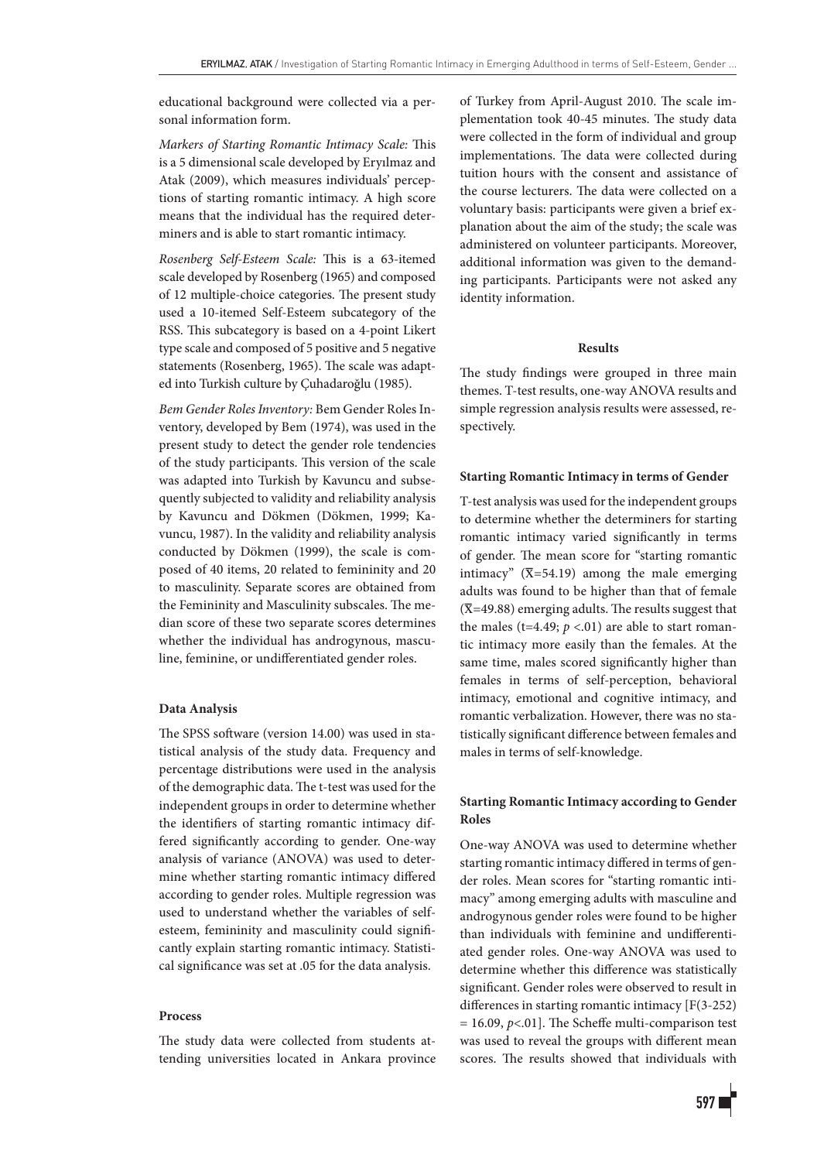educational background were collected via a personal information form.

*Markers of Starting Romantic Intimacy Scale:* This is a 5 dimensional scale developed by Eryılmaz and Atak (2009), which measures individuals' perceptions of starting romantic intimacy. A high score means that the individual has the required determiners and is able to start romantic intimacy.

*Rosenberg Self-Esteem Scale:* This is a 63-itemed scale developed by Rosenberg (1965) and composed of 12 multiple-choice categories. The present study used a 10-itemed Self-Esteem subcategory of the RSS. This subcategory is based on a 4-point Likert type scale and composed of 5 positive and 5 negative statements (Rosenberg, 1965). The scale was adapted into Turkish culture by Çuhadaroğlu (1985).

*Bem Gender Roles Inventory:* Bem Gender Roles Inventory, developed by Bem (1974), was used in the present study to detect the gender role tendencies of the study participants. This version of the scale was adapted into Turkish by Kavuncu and subsequently subjected to validity and reliability analysis by Kavuncu and Dökmen (Dökmen, 1999; Kavuncu, 1987). In the validity and reliability analysis conducted by Dökmen (1999), the scale is composed of 40 items, 20 related to femininity and 20 to masculinity. Separate scores are obtained from the Femininity and Masculinity subscales. The median score of these two separate scores determines whether the individual has androgynous, masculine, feminine, or undifferentiated gender roles.

#### **Data Analysis**

The SPSS software (version 14.00) was used in statistical analysis of the study data. Frequency and percentage distributions were used in the analysis of the demographic data. The t-test was used for the independent groups in order to determine whether the identifiers of starting romantic intimacy differed significantly according to gender. One-way analysis of variance (ANOVA) was used to determine whether starting romantic intimacy differed according to gender roles. Multiple regression was used to understand whether the variables of selfesteem, femininity and masculinity could significantly explain starting romantic intimacy. Statistical significance was set at .05 for the data analysis.

#### **Process**

The study data were collected from students attending universities located in Ankara province of Turkey from April-August 2010. The scale implementation took 40-45 minutes. The study data were collected in the form of individual and group implementations. The data were collected during tuition hours with the consent and assistance of the course lecturers. The data were collected on a voluntary basis: participants were given a brief explanation about the aim of the study; the scale was administered on volunteer participants. Moreover, additional information was given to the demanding participants. Participants were not asked any identity information.

#### **Results**

The study findings were grouped in three main themes. T-test results, one-way ANOVA results and simple regression analysis results were assessed, respectively.

#### **Starting Romantic Intimacy in terms of Gender**

T-test analysis was used for the independent groups to determine whether the determiners for starting romantic intimacy varied significantly in terms of gender. The mean score for "starting romantic intimacy" ( $\overline{X}$ =54.19) among the male emerging adults was found to be higher than that of female  $(\overline{\mathbf{X}}=49.88)$  emerging adults. The results suggest that the males (t=4.49;  $p < .01$ ) are able to start romantic intimacy more easily than the females. At the same time, males scored significantly higher than females in terms of self-perception, behavioral intimacy, emotional and cognitive intimacy, and romantic verbalization. However, there was no statistically significant difference between females and males in terms of self-knowledge.

## **Starting Romantic Intimacy according to Gender Roles**

One-way ANOVA was used to determine whether starting romantic intimacy differed in terms of gender roles. Mean scores for "starting romantic intimacy" among emerging adults with masculine and androgynous gender roles were found to be higher than individuals with feminine and undifferentiated gender roles. One-way ANOVA was used to determine whether this difference was statistically significant. Gender roles were observed to result in differences in starting romantic intimacy [F(3-252) = 16.09, *p*<.01]. The Scheffe multi-comparison test was used to reveal the groups with different mean scores. The results showed that individuals with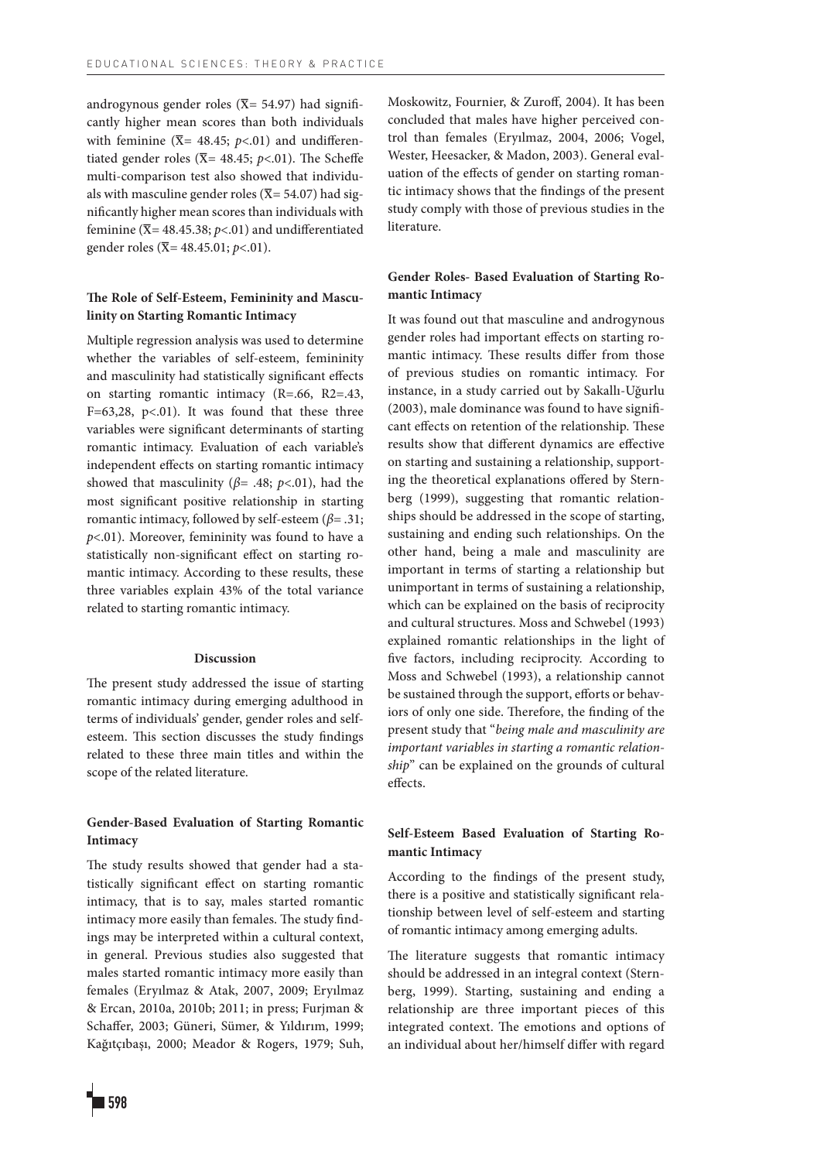androgynous gender roles ( $\overline{X}$  = 54.97) had significantly higher mean scores than both individuals with feminine ( $\overline{X}$ = 48.45; *p*<.01) and undifferentiated gender roles ( $\overline{X}$ = 48.45; *p*<.01). The Scheffe multi-comparison test also showed that individuals with masculine gender roles ( $\overline{X}$  = 54.07) had significantly higher mean scores than individuals with feminine ( $\overline{X}$  = 48.45.38; *p*<.01) and undifferentiated gender roles (x= 48.45.01; *p*<.01).

## **The Role of Self-Esteem, Femininity and Masculinity on Starting Romantic Intimacy**

Multiple regression analysis was used to determine whether the variables of self-esteem, femininity and masculinity had statistically significant effects on starting romantic intimacy (R=.66, R2=.43, F=63,28, p<.01). It was found that these three variables were significant determinants of starting romantic intimacy. Evaluation of each variable's independent effects on starting romantic intimacy showed that masculinity ( $\beta$ = .48;  $p$ <.01), had the most significant positive relationship in starting romantic intimacy, followed by self-esteem (*β*= .31; *p*<.01). Moreover, femininity was found to have a statistically non-significant effect on starting romantic intimacy. According to these results, these three variables explain 43% of the total variance related to starting romantic intimacy.

### **Discussion**

The present study addressed the issue of starting romantic intimacy during emerging adulthood in terms of individuals' gender, gender roles and selfesteem. This section discusses the study findings related to these three main titles and within the scope of the related literature.

## **Gender-Based Evaluation of Starting Romantic Intimacy**

The study results showed that gender had a statistically significant effect on starting romantic intimacy, that is to say, males started romantic intimacy more easily than females. The study findings may be interpreted within a cultural context, in general. Previous studies also suggested that males started romantic intimacy more easily than females (Eryılmaz & Atak, 2007, 2009; Eryılmaz & Ercan, 2010a, 2010b; 2011; in press; Furjman & Schaffer, 2003; Güneri, Sümer, & Yıldırım, 1999; Kağıtçıbaşı, 2000; Meador & Rogers, 1979; Suh,

## **Gender Roles- Based Evaluation of Starting Romantic Intimacy**

It was found out that masculine and androgynous gender roles had important effects on starting romantic intimacy. These results differ from those of previous studies on romantic intimacy. For instance, in a study carried out by Sakallı-Uğurlu (2003), male dominance was found to have significant effects on retention of the relationship. These results show that different dynamics are effective on starting and sustaining a relationship, supporting the theoretical explanations offered by Sternberg (1999), suggesting that romantic relationships should be addressed in the scope of starting, sustaining and ending such relationships. On the other hand, being a male and masculinity are important in terms of starting a relationship but unimportant in terms of sustaining a relationship, which can be explained on the basis of reciprocity and cultural structures. Moss and Schwebel (1993) explained romantic relationships in the light of five factors, including reciprocity. According to Moss and Schwebel (1993), a relationship cannot be sustained through the support, efforts or behaviors of only one side. Therefore, the finding of the present study that "*being male and masculinity are important variables in starting a romantic relationship*" can be explained on the grounds of cultural effects.

## **Self-Esteem Based Evaluation of Starting Romantic Intimacy**

According to the findings of the present study, there is a positive and statistically significant relationship between level of self-esteem and starting of romantic intimacy among emerging adults.

The literature suggests that romantic intimacy should be addressed in an integral context (Sternberg, 1999). Starting, sustaining and ending a relationship are three important pieces of this integrated context. The emotions and options of an individual about her/himself differ with regard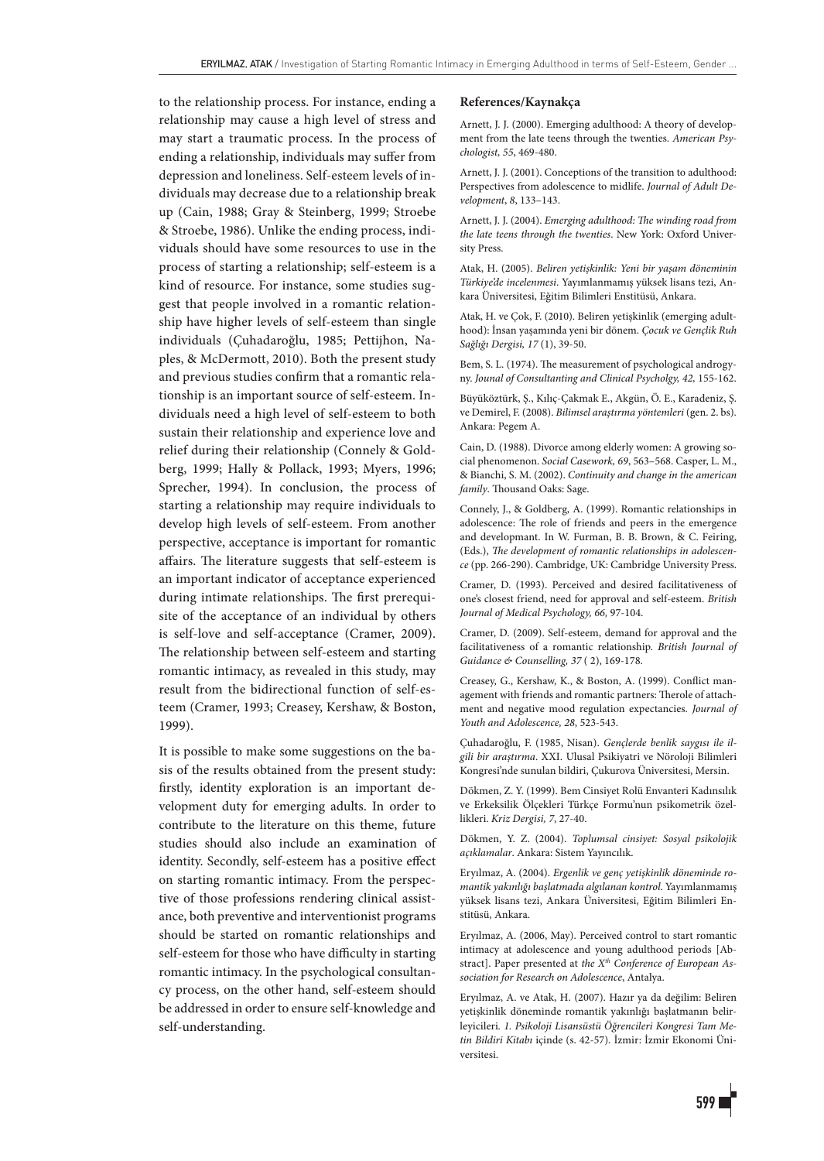to the relationship process. For instance, ending a relationship may cause a high level of stress and may start a traumatic process. In the process of ending a relationship, individuals may suffer from depression and loneliness. Self-esteem levels of individuals may decrease due to a relationship break up (Cain, 1988; Gray & Steinberg, 1999; Stroebe & Stroebe, 1986). Unlike the ending process, individuals should have some resources to use in the process of starting a relationship; self-esteem is a kind of resource. For instance, some studies suggest that people involved in a romantic relationship have higher levels of self-esteem than single individuals (Çuhadaroğlu, 1985; Pettijhon, Naples, & McDermott, 2010). Both the present study and previous studies confirm that a romantic relationship is an important source of self-esteem. Individuals need a high level of self-esteem to both sustain their relationship and experience love and relief during their relationship (Connely & Goldberg, 1999; Hally & Pollack, 1993; Myers, 1996; Sprecher, 1994). In conclusion, the process of starting a relationship may require individuals to develop high levels of self-esteem. From another perspective, acceptance is important for romantic affairs. The literature suggests that self-esteem is an important indicator of acceptance experienced during intimate relationships. The first prerequisite of the acceptance of an individual by others is self-love and self-acceptance (Cramer, 2009). The relationship between self-esteem and starting romantic intimacy, as revealed in this study, may result from the bidirectional function of self-esteem (Cramer, 1993; Creasey, Kershaw, & Boston, 1999).

It is possible to make some suggestions on the basis of the results obtained from the present study: firstly, identity exploration is an important development duty for emerging adults. In order to contribute to the literature on this theme, future studies should also include an examination of identity. Secondly, self-esteem has a positive effect on starting romantic intimacy. From the perspective of those professions rendering clinical assistance, both preventive and interventionist programs should be started on romantic relationships and self-esteem for those who have difficulty in starting romantic intimacy. In the psychological consultancy process, on the other hand, self-esteem should be addressed in order to ensure self-knowledge and self-understanding.

#### **References/Kaynakça**

Arnett, J. J. (2000). Emerging adulthood: A theory of development from the late teens through the twenties. *American Psychologist, 55*, 469-480.

Arnett, J. J. (2001). Conceptions of the transition to adulthood: Perspectives from adolescence to midlife. *Journal of Adult Development*, *8*, 133–143.

Arnett, J. J. (2004). *Emerging adulthood: The winding road from the late teens through the twenties*. New York: Oxford University Press.

Atak, H. (2005). *Beliren yetişkinlik: Yeni bir yaşam döneminin Türkiye'de incelenmesi*. Yayımlanmamış yüksek lisans tezi, Ankara Üniversitesi, Eğitim Bilimleri Enstitüsü, Ankara.

Atak, H. ve Çok, F. (2010). Beliren yetişkinlik (emerging adulthood): İnsan yaşamında yeni bir dönem. *Çocuk ve Gençlik Ruh Sağlığı Dergisi, 17* (1), 39-50.

Bem, S. L. (1974). The measurement of psychological androgyny. *Jounal of Consultanting and Clinical Psycholgy, 42,* 155-162.

Büyüköztürk, Ş., Kılıç-Çakmak E., Akgün, Ö. E., Karadeniz, Ş. ve Demirel, F. (2008). *Bilimsel araştırma yöntemleri* (gen. 2. bs)*.* Ankara: Pegem A.

Cain, D. (1988). Divorce among elderly women: A growing social phenomenon. *Social Casework, 69*, 563–568. Casper, L. M., & Bianchi, S. M. (2002). *Continuity and change in the american family*. Thousand Oaks: Sage.

Connely, J., & Goldberg, A. (1999). Romantic relationships in adolescence: The role of friends and peers in the emergence and developmant. In W. Furman, B. B. Brown, & C. Feiring, (Eds.), *The development of romantic relationships in adolescence* (pp. 266-290). Cambridge, UK: Cambridge University Press.

Cramer, D. (1993). Perceived and desired facilitativeness of one's closest friend, need for approval and self-esteem. *British Journal of Medical Psychology, 66,* 97-104.

Cramer, D. (2009). Self-esteem, demand for approval and the facilitativeness of a romantic relationship. *British Journal of Guidance & Counselling, 37* ( 2), 169-178.

Creasey, G., Kershaw, K., & Boston, A. (1999). Conflict management with friends and romantic partners: Therole of attachment and negative mood regulation expectancies*. Journal of Youth and Adolescence, 28*, 523-543.

Çuhadaroğlu, F. (1985, Nisan). *Gençlerde benlik saygısı ile ilgili bir araştırma*. XXI. Ulusal Psikiyatri ve Nöroloji Bilimleri Kongresi'nde sunulan bildiri, Çukurova Üniversitesi, Mersin.

Dökmen, Z. Y. (1999). Bem Cinsiyet Rolü Envanteri Kadınsılık ve Erkeksilik Ölçekleri Türkçe Formu'nun psikometrik özellikleri. *Kriz Dergisi, 7*, 27-40.

Dökmen, Y. Z. (2004). *Toplumsal cinsiyet: Sosyal psikolojik açıklamalar*. Ankara: Sistem Yayıncılık.

Eryılmaz, A. (2004). *Ergenlik ve genç yetişkinlik döneminde romantik yakınlığı başlatmada algılanan kontrol*. Yayımlanmamış yüksek lisans tezi, Ankara Üniversitesi, Eğitim Bilimleri Enstitüsü, Ankara.

Eryılmaz, A. (2006, May). Perceived control to start romantic intimacy at adolescence and young adulthood periods [Abstract]. Paper presented at *the Xth Conference of European Association for Research on Adolescence*, Antalya.

Eryılmaz, A. ve Atak, H. (2007). Hazır ya da değilim: Beliren yetişkinlik döneminde romantik yakınlığı başlatmanın belirleyicileri*. 1. Psikoloji Lisansüstü Öğrencileri Kongresi Tam Metin Bildiri Kitabı* içinde (s. 42-57)*.* İzmir: İzmir Ekonomi Üniversitesi.